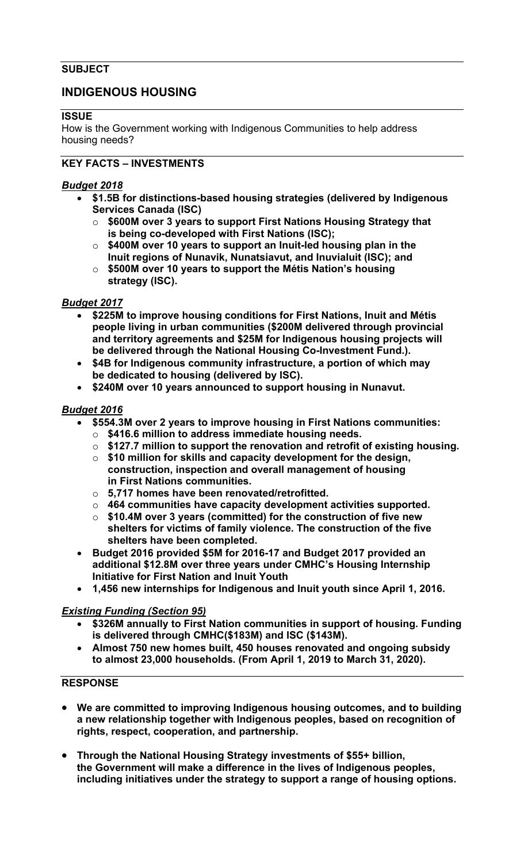#### **SUBJECT**

# **INDIGENOUS HOUSING**

#### **ISSUE**

How is the Government working with Indigenous Communities to help address housing needs?

### **KEY FACTS – INVESTMENTS**

#### *Budget 2018*

- **\$1.5B for distinctions-based housing strategies (delivered by Indigenous Services Canada (ISC)**
	- o **\$600M over 3 years to support First Nations Housing Strategy that is being co-developed with First Nations (ISC);**
	- o **\$400M over 10 years to support an Inuit-led housing plan in the Inuit regions of Nunavik, Nunatsiavut, and Inuvialuit (ISC); and**
	- o **\$500M over 10 years to support the Métis Nation's housing strategy (ISC).**

#### *Budget 2017*

- **\$225M to improve housing conditions for First Nations, Inuit and Métis people living in urban communities (\$200M delivered through provincial and territory agreements and \$25M for Indigenous housing projects will be delivered through the National Housing Co-Investment Fund.).**
- **\$4B for Indigenous community infrastructure, a portion of which may be dedicated to housing (delivered by ISC).**
- **\$240M over 10 years announced to support housing in Nunavut.**

#### *Budget 2016*

- **\$554.3M over 2 years to improve housing in First Nations communities:**
	- o **\$416.6 million to address immediate housing needs.**
	- o **\$127.7 million to support the renovation and retrofit of existing housing.**
	- o **\$10 million for skills and capacity development for the design, construction, inspection and overall management of housing in First Nations communities.**
	- o **5,717 homes have been renovated/retrofitted.**
	- o **464 communities have capacity development activities supported.**
	- o **\$10.4M over 3 years (committed) for the construction of five new shelters for victims of family violence. The construction of the five shelters have been completed.**
- **Budget 2016 provided \$5M for 2016-17 and Budget 2017 provided an additional \$12.8M over three years under CMHC's Housing Internship Initiative for First Nation and Inuit Youth**
- **1,456 new internships for Indigenous and Inuit youth since April 1, 2016.**

## *Existing Funding (Section 95)*

- **\$326M annually to First Nation communities in support of housing. Funding is delivered through CMHC(\$183M) and ISC (\$143M).**
- **Almost 750 new homes built, 450 houses renovated and ongoing subsidy to almost 23,000 households. (From April 1, 2019 to March 31, 2020).**

#### **RESPONSE**

- **We are committed to improving Indigenous housing outcomes, and to building a new relationship together with Indigenous peoples, based on recognition of rights, respect, cooperation, and partnership.**
- **Through the National Housing Strategy investments of \$55+ billion, the Government will make a difference in the lives of Indigenous peoples, including initiatives under the strategy to support a range of housing options.**